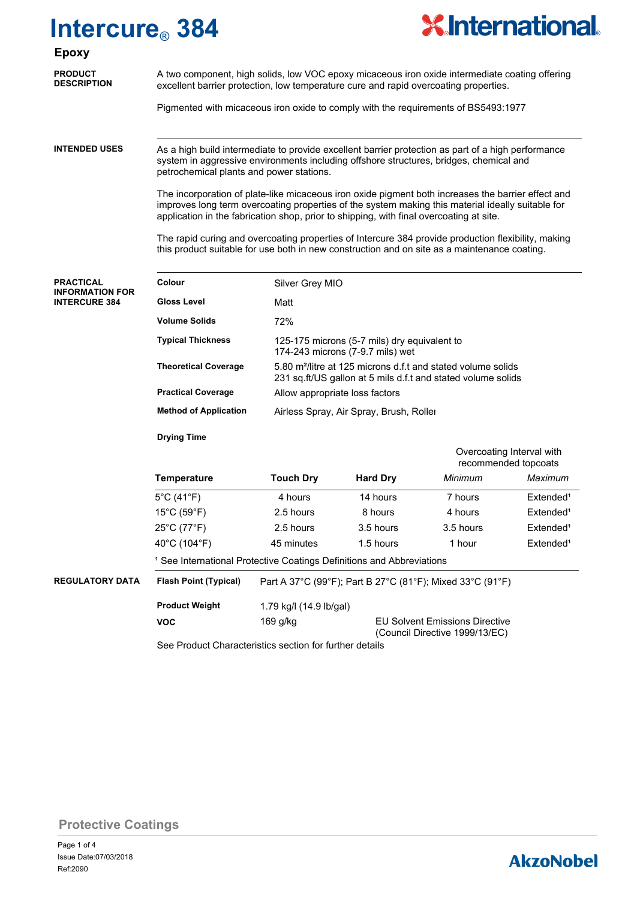## **Intercure**® **384**



### **PRODUCT Epoxy**

**PRACTICAL INFORMATION FOR INTERCURE 384**

| <b>PRODUCT</b><br><b>DESCRIPTION</b> | A two component, high solids, low VOC epoxy micaceous iron oxide intermediate coating offering |
|--------------------------------------|------------------------------------------------------------------------------------------------|
|                                      | excellent barrier protection, low temperature cure and rapid overcoating properties.           |

Pigmented with micaceous iron oxide to comply with the requirements of BS5493:1977

As a high build intermediate to provide excellent barrier protection as part of a high performance system in aggressive environments including offshore structures, bridges, chemical and petrochemical plants and power stations. **INTENDED USES**

> The incorporation of plate-like micaceous iron oxide pigment both increases the barrier effect and improves long term overcoating properties of the system making this material ideally suitable for application in the fabrication shop, prior to shipping, with final overcoating at site.

> The rapid curing and overcoating properties of Intercure 384 provide production flexibility, making this product suitable for use both in new construction and on site as a maintenance coating.

| Colour                       | Silver Grey MIO                                                                                                                          |
|------------------------------|------------------------------------------------------------------------------------------------------------------------------------------|
| Gloss Level                  | Matt                                                                                                                                     |
| <b>Volume Solids</b>         | 72%                                                                                                                                      |
| <b>Typical Thickness</b>     | 125-175 microns (5-7 mils) dry equivalent to<br>174-243 microns (7-9.7 mils) wet                                                         |
| <b>Theoretical Coverage</b>  | 5.80 m <sup>2</sup> /litre at 125 microns d.f.t and stated volume solids<br>231 sq.ft/US gallon at 5 mils d.f.t and stated volume solids |
| <b>Practical Coverage</b>    | Allow appropriate loss factors                                                                                                           |
| <b>Method of Application</b> | Airless Spray, Air Spray, Brush, Roller                                                                                                  |

|                        | <b>Drying Time</b>               |                                                                                       |                 |                                                   |                       |  |
|------------------------|----------------------------------|---------------------------------------------------------------------------------------|-----------------|---------------------------------------------------|-----------------------|--|
|                        |                                  |                                                                                       |                 | Overcoating Interval with<br>recommended topcoats |                       |  |
|                        | <b>Temperature</b>               | <b>Touch Dry</b>                                                                      | <b>Hard Dry</b> | Minimum                                           | Maximum               |  |
|                        | $5^{\circ}$ C (41 $^{\circ}$ F)  | 4 hours                                                                               | 14 hours        | 7 hours                                           | Extended <sup>1</sup> |  |
|                        | $15^{\circ}$ C (59 $^{\circ}$ F) | 2.5 hours                                                                             | 8 hours         | 4 hours                                           | Extended <sup>1</sup> |  |
|                        | $25^{\circ}$ C (77 $^{\circ}$ F) | 2.5 hours                                                                             | 3.5 hours       | 3.5 hours                                         | Extended <sup>1</sup> |  |
|                        | 40°C (104°F)                     | 45 minutes                                                                            | 1.5 hours       | 1 hour                                            | Extended <sup>1</sup> |  |
|                        |                                  | <sup>1</sup> See International Protective Coatings Definitions and Abbreviations      |                 |                                                   |                       |  |
| <b>REGULATORY DATA</b> | <b>Flash Point (Typical)</b>     | Part A 37°C (99°F); Part B 27°C (81°F); Mixed 33°C (91°F)                             |                 |                                                   |                       |  |
|                        | <b>Product Weight</b>            | 1.79 kg/l (14.9 lb/gal)                                                               |                 |                                                   |                       |  |
|                        | <b>VOC</b>                       | $169$ g/kg<br><b>EU Solvent Emissions Directive</b><br>(Council Directive 1999/13/EC) |                 |                                                   |                       |  |

See Product Characteristics section for further details

**Protective Coatings**

### **AkzoNobel**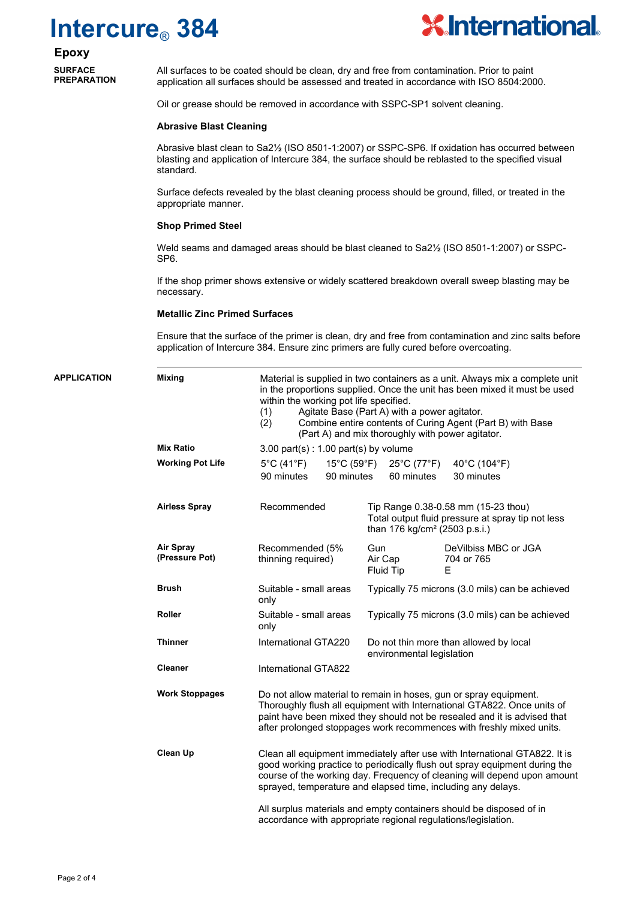# **Intercure**® **384**



**Epoxy SURFACE** 

**PREPARATION**

All surfaces to be coated should be clean, dry and free from contamination. Prior to paint application all surfaces should be assessed and treated in accordance with ISO 8504:2000.

Oil or grease should be removed in accordance with SSPC-SP1 solvent cleaning.

#### **Abrasive Blast Cleaning**

Abrasive blast clean to Sa2½ (ISO 8501-1:2007) or SSPC-SP6. If oxidation has occurred between blasting and application of Intercure 384, the surface should be reblasted to the specified visual standard.

Surface defects revealed by the blast cleaning process should be ground, filled, or treated in the appropriate manner.

#### **Shop Primed Steel**

Weld seams and damaged areas should be blast cleaned to Sa2<sup>1</sup>/<sub>2</sub> (ISO 8501-1:2007) or SSPC-SP6.

If the shop primer shows extensive or widely scattered breakdown overall sweep blasting may be necessary.

#### **Metallic Zinc Primed Surfaces**

Ensure that the surface of the primer is clean, dry and free from contamination and zinc salts before application of Intercure 384. Ensure zinc primers are fully cured before overcoating.

| <b>APPLICATION</b> | <b>Mixing</b>                      | Material is supplied in two containers as a unit. Always mix a complete unit<br>in the proportions supplied. Once the unit has been mixed it must be used<br>within the working pot life specified.<br>Agitate Base (Part A) with a power agitator.<br>(1)<br>Combine entire contents of Curing Agent (Part B) with Base<br>(2)<br>(Part A) and mix thoroughly with power agitator. |                                                                                                                                       |  |  |
|--------------------|------------------------------------|-------------------------------------------------------------------------------------------------------------------------------------------------------------------------------------------------------------------------------------------------------------------------------------------------------------------------------------------------------------------------------------|---------------------------------------------------------------------------------------------------------------------------------------|--|--|
|                    | <b>Mix Ratio</b>                   | $3.00$ part(s) : 1.00 part(s) by volume                                                                                                                                                                                                                                                                                                                                             |                                                                                                                                       |  |  |
|                    | <b>Working Pot Life</b>            | $5^{\circ}$ C (41 $^{\circ}$ F)<br>$15^{\circ}$ C (59 $^{\circ}$ F)<br>90 minutes<br>90 minutes                                                                                                                                                                                                                                                                                     | 25°C (77°F)<br>40°C (104°F)<br>30 minutes<br>60 minutes                                                                               |  |  |
|                    | <b>Airless Spray</b>               | Recommended                                                                                                                                                                                                                                                                                                                                                                         | Tip Range 0.38-0.58 mm (15-23 thou)<br>Total output fluid pressure at spray tip not less<br>than 176 kg/cm <sup>2</sup> (2503 p.s.i.) |  |  |
|                    | <b>Air Spray</b><br>(Pressure Pot) | Recommended (5%<br>thinning required)                                                                                                                                                                                                                                                                                                                                               | Gun<br>DeVilbiss MBC or JGA<br>Air Cap<br>704 or 765<br>Fluid Tip<br>F                                                                |  |  |
|                    | <b>Brush</b>                       | Suitable - small areas<br>only                                                                                                                                                                                                                                                                                                                                                      | Typically 75 microns (3.0 mils) can be achieved                                                                                       |  |  |
|                    | Roller                             | Suitable - small areas<br>only                                                                                                                                                                                                                                                                                                                                                      | Typically 75 microns (3.0 mils) can be achieved                                                                                       |  |  |
|                    | <b>Thinner</b>                     | International GTA220                                                                                                                                                                                                                                                                                                                                                                | Do not thin more than allowed by local<br>environmental legislation                                                                   |  |  |
|                    | <b>Cleaner</b>                     | International GTA822                                                                                                                                                                                                                                                                                                                                                                |                                                                                                                                       |  |  |
|                    | <b>Work Stoppages</b>              | Do not allow material to remain in hoses, gun or spray equipment.<br>Thoroughly flush all equipment with International GTA822. Once units of<br>paint have been mixed they should not be resealed and it is advised that<br>after prolonged stoppages work recommences with freshly mixed units.                                                                                    |                                                                                                                                       |  |  |
|                    | Clean Up                           | Clean all equipment immediately after use with International GTA822. It is<br>good working practice to periodically flush out spray equipment during the<br>course of the working day. Frequency of cleaning will depend upon amount<br>sprayed, temperature and elapsed time, including any delays.                                                                                |                                                                                                                                       |  |  |
|                    |                                    | All surplus materials and empty containers should be disposed of in<br>accordance with appropriate regional regulations/legislation.                                                                                                                                                                                                                                                |                                                                                                                                       |  |  |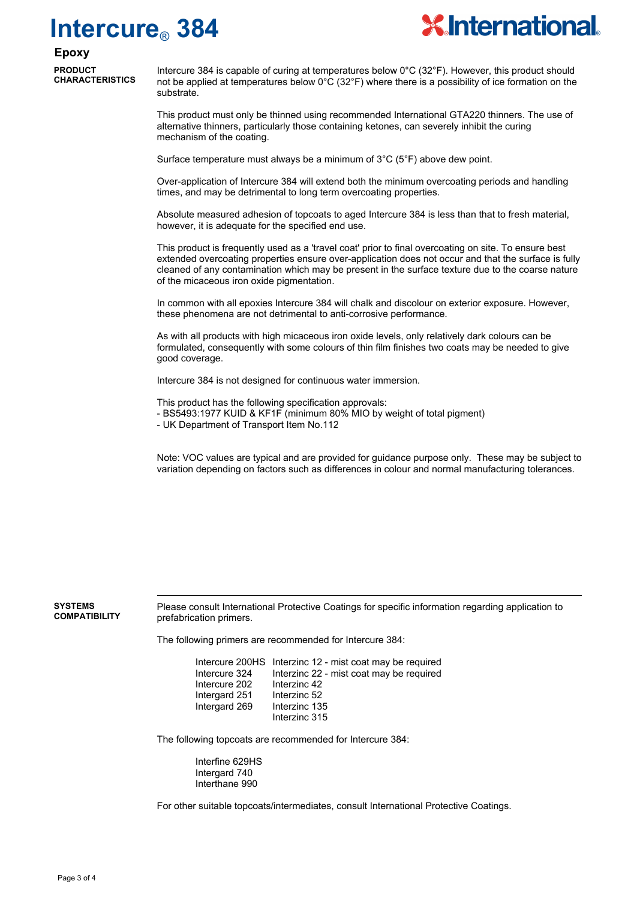## **Intercure**® **384**



#### **Epoxy**

**PRODUCT CHARACTERISTICS**

Intercure 384 is capable of curing at temperatures below 0°C (32°F). However, this product should not be applied at temperatures below  $0^{\circ}$ C (32 $^{\circ}$ F) where there is a possibility of ice formation on the substrate.

This product must only be thinned using recommended International GTA220 thinners. The use of alternative thinners, particularly those containing ketones, can severely inhibit the curing mechanism of the coating.

Surface temperature must always be a minimum of 3°C (5°F) above dew point.

Over-application of Intercure 384 will extend both the minimum overcoating periods and handling times, and may be detrimental to long term overcoating properties.

Absolute measured adhesion of topcoats to aged Intercure 384 is less than that to fresh material, however, it is adequate for the specified end use.

This product is frequently used as a 'travel coat' prior to final overcoating on site. To ensure best extended overcoating properties ensure over-application does not occur and that the surface is fully cleaned of any contamination which may be present in the surface texture due to the coarse nature of the micaceous iron oxide pigmentation.

In common with all epoxies Intercure 384 will chalk and discolour on exterior exposure. However, these phenomena are not detrimental to anti-corrosive performance.

As with all products with high micaceous iron oxide levels, only relatively dark colours can be formulated, consequently with some colours of thin film finishes two coats may be needed to give good coverage.

Intercure 384 is not designed for continuous water immersion.

This product has the following specification approvals:

- BS5493:1977 KUID & KF1F (minimum 80% MIO by weight of total pigment)
- UK Department of Transport Item No.112

Note: VOC values are typical and are provided for guidance purpose only. These may be subject to variation depending on factors such as differences in colour and normal manufacturing tolerances.

**SYSTEMS COMPATIBILITY** Please consult International Protective Coatings for specific information regarding application to prefabrication primers.

The following primers are recommended for Intercure 384:

Intercure 200HS Interzinc 12 - mist coat may be required Intercure 324 Interzinc 22 - mist coat may be required<br>Intercure 202 Interzinc 42 Intercure 202 Intergard 251 Interzinc 52 Intergard 269 Interzinc 135 Interzinc 315

The following topcoats are recommended for Intercure 384:

Interfine 629HS Intergard 740 Interthane 990

For other suitable topcoats/intermediates, consult International Protective Coatings.